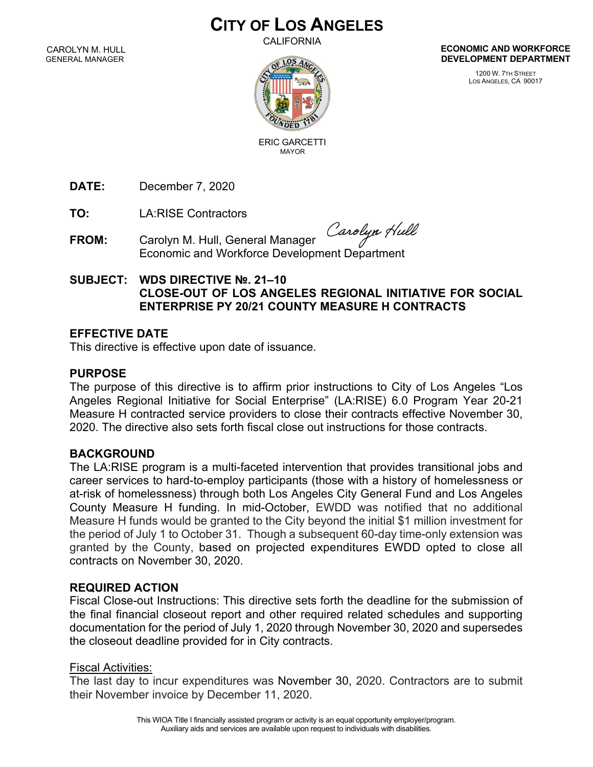# **CITY OF LOS ANGELES**

**CALIFORNIA** 

CAROLYN M. HULL GENERAL MANAGER



**ECONOMIC AND WORKFORCE DEVELOPMENT DEPARTMENT**

> 1200 W. 7TH STREET LOS ANGELES, CA 90017

ERIC GARCETTI

**DATE:** December 7, 2020

**TO:** LA:RISE Contractors

**FROM:** Carolyn M. Hull, General Manager Carolyn M. Hull, General Manager<br>Economic and Workforce Development Department

# **SUBJECT: WDS DIRECTIVE №. 21–10 CLOSE-OUT OF LOS ANGELES REGIONAL INITIATIVE FOR SOCIAL ENTERPRISE PY 20/21 COUNTY MEASURE H CONTRACTS**

## **EFFECTIVE DATE**

This directive is effective upon date of issuance.

# **PURPOSE**

The purpose of this directive is to affirm prior instructions to City of Los Angeles "Los Angeles Regional Initiative for Social Enterprise" (LA:RISE) 6.0 Program Year 20-21 Measure H contracted service providers to close their contracts effective November 30, 2020. The directive also sets forth fiscal close out instructions for those contracts.

## **BACKGROUND**

The LA:RISE program is a multi-faceted intervention that provides transitional jobs and career services to hard-to-employ participants (those with a history of homelessness or at-risk of homelessness) through both Los Angeles City General Fund and Los Angeles County Measure H funding. In mid-October, EWDD was notified that no additional Measure H funds would be granted to the City beyond the initial \$1 million investment for the period of July 1 to October 31. Though a subsequent 60-day time-only extension was granted by the County, based on projected expenditures EWDD opted to close all contracts on November 30, 2020.

## **REQUIRED ACTION**

Fiscal Close-out Instructions: This directive sets forth the deadline for the submission of the final financial closeout report and other required related schedules and supporting documentation for the period of July 1, 2020 through November 30, 2020 and supersedes the closeout deadline provided for in City contracts.

## Fiscal Activities:

The last day to incur expenditures was November 30, 2020. Contractors are to submit their November invoice by December 11, 2020.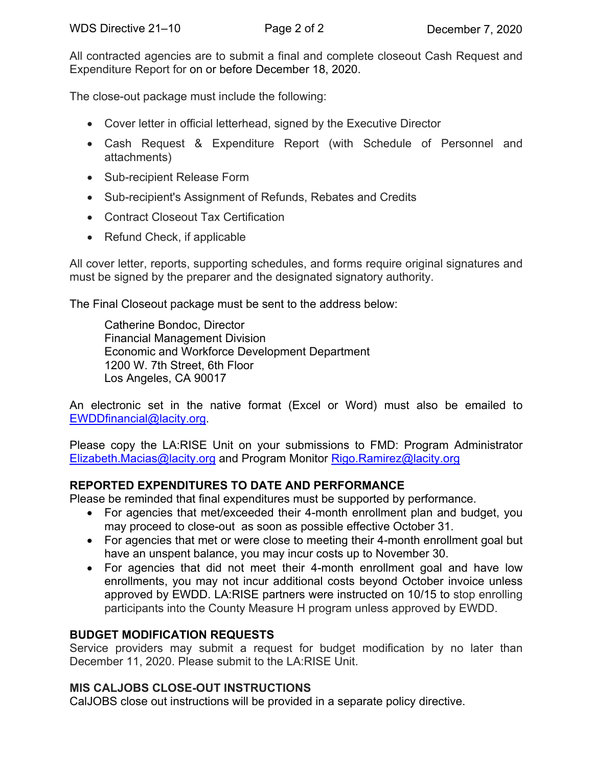All contracted agencies are to submit a final and complete closeout Cash Request and Expenditure Report for on or before December 18, 2020.

The close-out package must include the following:

- Cover letter in official letterhead, signed by the Executive Director
- Cash Request & Expenditure Report (with Schedule of Personnel and attachments)
- Sub-recipient Release Form
- Sub-recipient's Assignment of Refunds, Rebates and Credits
- Contract Closeout Tax Certification
- Refund Check, if applicable

All cover letter, reports, supporting schedules, and forms require original signatures and must be signed by the preparer and the designated signatory authority.

The Final Closeout package must be sent to the address below:

Catherine Bondoc, Director Financial Management Division Economic and Workforce Development Department 1200 W. 7th Street, 6th Floor Los Angeles, CA 90017

An electronic set in the native format (Excel or Word) must also be emailed to EWDDfinancial@lacity.org.

Please copy the LA:RISE Unit on your submissions to FMD: Program Administrator Elizabeth.Macias@lacity.org and Program Monitor Rigo.Ramirez@lacity.org

# **REPORTED EXPENDITURES TO DATE AND PERFORMANCE**

Please be reminded that final expenditures must be supported by performance.

- For agencies that met/exceeded their 4-month enrollment plan and budget, you may proceed to close-out as soon as possible effective October 31.
- For agencies that met or were close to meeting their 4-month enrollment goal but have an unspent balance, you may incur costs up to November 30.
- For agencies that did not meet their 4-month enrollment goal and have low enrollments, you may not incur additional costs beyond October invoice unless approved by EWDD. LA:RISE partners were instructed on 10/15 to stop enrolling participants into the County Measure H program unless approved by EWDD.

# **BUDGET MODIFICATION REQUESTS**

Service providers may submit a request for budget modification by no later than December 11, 2020. Please submit to the LA:RISE Unit.

## **MIS CALJOBS CLOSE-OUT INSTRUCTIONS**

CalJOBS close out instructions will be provided in a separate policy directive.